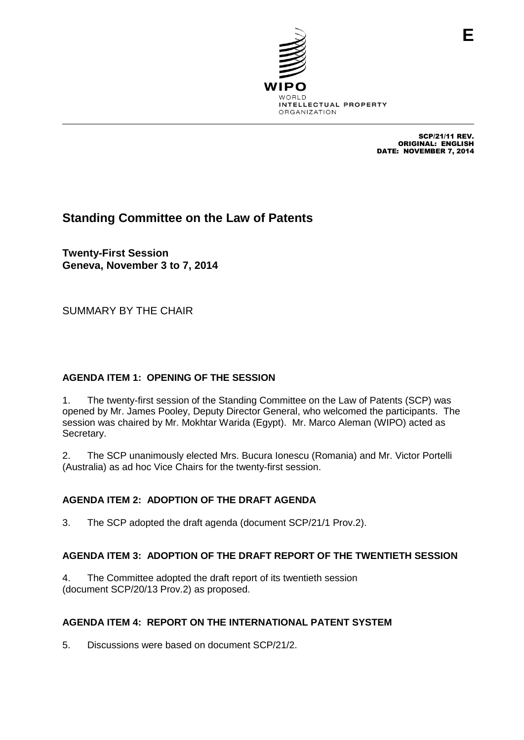

SCP/21/11 REV. ORIGINAL: ENGLISH DATE: NOVEMBER 7, 2014

# **Standing Committee on the Law of Patents**

**Twenty-First Session Geneva, November 3 to 7, 2014**

SUMMARY BY THE CHAIR

### **AGENDA ITEM 1: OPENING OF THE SESSION**

1. The twenty-first session of the Standing Committee on the Law of Patents (SCP) was opened by Mr. James Pooley, Deputy Director General, who welcomed the participants. The session was chaired by Mr. Mokhtar Warida (Egypt). Mr. Marco Aleman (WIPO) acted as Secretary.

2. The SCP unanimously elected Mrs. Bucura Ionescu (Romania) and Mr. Victor Portelli (Australia) as ad hoc Vice Chairs for the twenty-first session.

### **AGENDA ITEM 2: ADOPTION OF THE DRAFT AGENDA**

3. The SCP adopted the draft agenda (document SCP/21/1 Prov.2).

### **AGENDA ITEM 3: ADOPTION OF THE DRAFT REPORT OF THE TWENTIETH SESSION**

4. The Committee adopted the draft report of its twentieth session (document SCP/20/13 Prov.2) as proposed.

### **AGENDA ITEM 4: REPORT ON THE INTERNATIONAL PATENT SYSTEM**

5. Discussions were based on document SCP/21/2.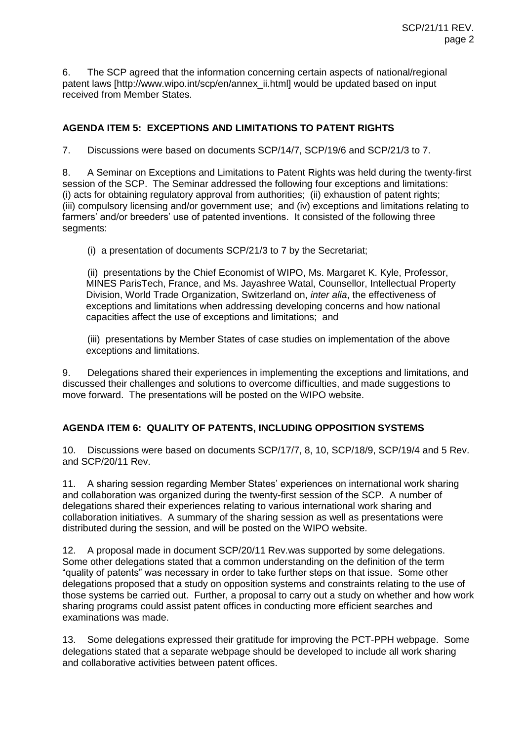6. The SCP agreed that the information concerning certain aspects of national/regional patent laws [http://www.wipo.int/scp/en/annex\_ii.html] would be updated based on input received from Member States.

### **AGENDA ITEM 5: EXCEPTIONS AND LIMITATIONS TO PATENT RIGHTS**

7. Discussions were based on documents SCP/14/7, SCP/19/6 and SCP/21/3 to 7.

8. A Seminar on Exceptions and Limitations to Patent Rights was held during the twenty-first session of the SCP. The Seminar addressed the following four exceptions and limitations: (i) acts for obtaining regulatory approval from authorities; (ii) exhaustion of patent rights; (iii) compulsory licensing and/or government use; and (iv) exceptions and limitations relating to farmers' and/or breeders' use of patented inventions. It consisted of the following three segments:

(i) a presentation of documents SCP/21/3 to 7 by the Secretariat;

(ii) presentations by the Chief Economist of WIPO, Ms. Margaret K. Kyle, Professor, MINES ParisTech, France, and Ms. Jayashree Watal, Counsellor, Intellectual Property Division, World Trade Organization, Switzerland on, *inter alia*, the effectiveness of exceptions and limitations when addressing developing concerns and how national capacities affect the use of exceptions and limitations; and

(iii) presentations by Member States of case studies on implementation of the above exceptions and limitations.

9. Delegations shared their experiences in implementing the exceptions and limitations, and discussed their challenges and solutions to overcome difficulties, and made suggestions to move forward. The presentations will be posted on the WIPO website.

### **AGENDA ITEM 6: QUALITY OF PATENTS, INCLUDING OPPOSITION SYSTEMS**

10. Discussions were based on documents SCP/17/7, 8, 10, SCP/18/9, SCP/19/4 and 5 Rev. and SCP/20/11 Rev.

11. A sharing session regarding Member States' experiences on international work sharing and collaboration was organized during the twenty-first session of the SCP. A number of delegations shared their experiences relating to various international work sharing and collaboration initiatives. A summary of the sharing session as well as presentations were distributed during the session, and will be posted on the WIPO website.

12. A proposal made in document SCP/20/11 Rev.was supported by some delegations. Some other delegations stated that a common understanding on the definition of the term "quality of patents" was necessary in order to take further steps on that issue. Some other delegations proposed that a study on opposition systems and constraints relating to the use of those systems be carried out. Further, a proposal to carry out a study on whether and how work sharing programs could assist patent offices in conducting more efficient searches and examinations was made.

13. Some delegations expressed their gratitude for improving the PCT-PPH webpage. Some delegations stated that a separate webpage should be developed to include all work sharing and collaborative activities between patent offices.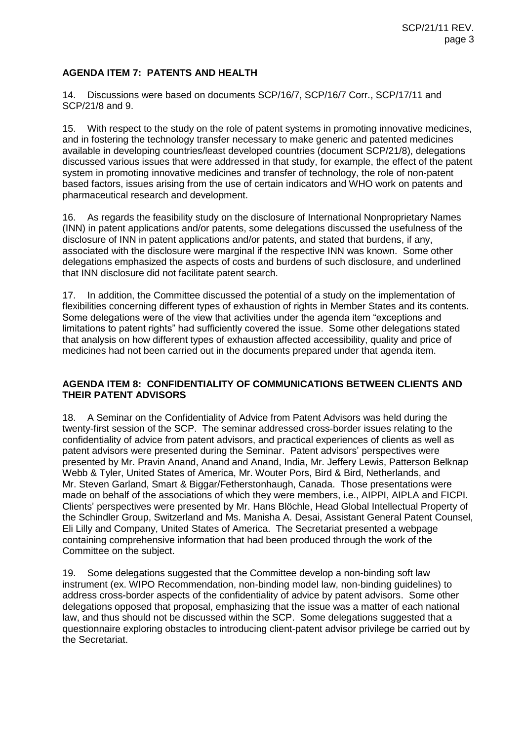## **AGENDA ITEM 7: PATENTS AND HEALTH**

14. Discussions were based on documents SCP/16/7, SCP/16/7 Corr., SCP/17/11 and SCP/21/8 and 9.

15. With respect to the study on the role of patent systems in promoting innovative medicines, and in fostering the technology transfer necessary to make generic and patented medicines available in developing countries/least developed countries (document SCP/21/8), delegations discussed various issues that were addressed in that study, for example, the effect of the patent system in promoting innovative medicines and transfer of technology, the role of non-patent based factors, issues arising from the use of certain indicators and WHO work on patents and pharmaceutical research and development.

16. As regards the feasibility study on the disclosure of International Nonproprietary Names (INN) in patent applications and/or patents, some delegations discussed the usefulness of the disclosure of INN in patent applications and/or patents, and stated that burdens, if any, associated with the disclosure were marginal if the respective INN was known. Some other delegations emphasized the aspects of costs and burdens of such disclosure, and underlined that INN disclosure did not facilitate patent search.

17. In addition, the Committee discussed the potential of a study on the implementation of flexibilities concerning different types of exhaustion of rights in Member States and its contents. Some delegations were of the view that activities under the agenda item "exceptions and limitations to patent rights" had sufficiently covered the issue. Some other delegations stated that analysis on how different types of exhaustion affected accessibility, quality and price of medicines had not been carried out in the documents prepared under that agenda item.

### **AGENDA ITEM 8: CONFIDENTIALITY OF COMMUNICATIONS BETWEEN CLIENTS AND THEIR PATENT ADVISORS**

18. A Seminar on the Confidentiality of Advice from Patent Advisors was held during the twenty-first session of the SCP. The seminar addressed cross-border issues relating to the confidentiality of advice from patent advisors, and practical experiences of clients as well as patent advisors were presented during the Seminar. Patent advisors' perspectives were presented by Mr. Pravin Anand, Anand and Anand, India, Mr. Jeffery Lewis, Patterson Belknap Webb & Tyler, United States of America, Mr. Wouter Pors, Bird & Bird, Netherlands, and Mr. Steven Garland, Smart & Biggar/Fetherstonhaugh, Canada. Those presentations were made on behalf of the associations of which they were members, i.e., AIPPI, AIPLA and FICPI. Clients' perspectives were presented by Mr. Hans Blöchle, Head Global Intellectual Property of the Schindler Group, Switzerland and Ms. Manisha A. Desai, Assistant General Patent Counsel, Eli Lilly and Company, United States of America. The Secretariat presented a webpage containing comprehensive information that had been produced through the work of the Committee on the subject.

19. Some delegations suggested that the Committee develop a non-binding soft law instrument (ex. WIPO Recommendation, non-binding model law, non-binding guidelines) to address cross-border aspects of the confidentiality of advice by patent advisors. Some other delegations opposed that proposal, emphasizing that the issue was a matter of each national law, and thus should not be discussed within the SCP. Some delegations suggested that a questionnaire exploring obstacles to introducing client-patent advisor privilege be carried out by the Secretariat.